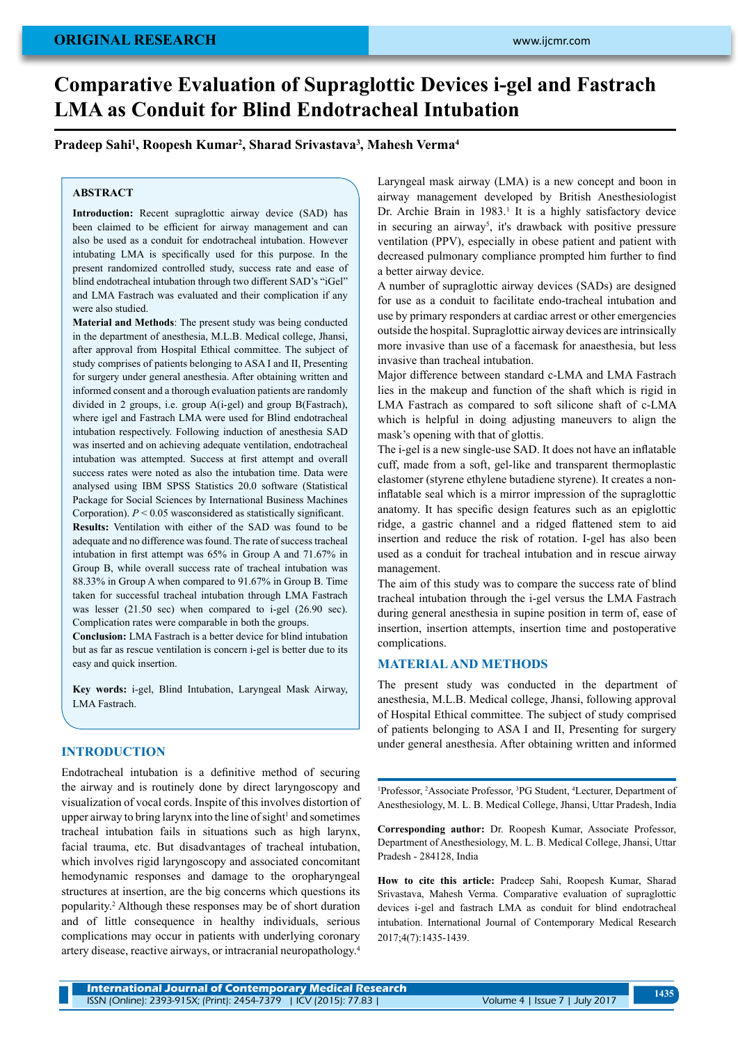# **Comparative Evaluation of Supraglottic Devices i-gel and Fastrach LMA as Conduit for Blind Endotracheal Intubation**

# **Pradeep Sahi1 , Roopesh Kumar2 , Sharad Srivastava3 , Mahesh Verma4**

# **ABSTRACT**

**Introduction:** Recent supraglottic airway device (SAD) has been claimed to be efficient for airway management and can also be used as a conduit for endotracheal intubation. However intubating LMA is specifically used for this purpose. In the present randomized controlled study, success rate and ease of blind endotracheal intubation through two different SAD's "iGel" and LMA Fastrach was evaluated and their complication if any were also studied.

**Material and Methods**: The present study was being conducted in the department of anesthesia, M.L.B. Medical college, Jhansi, after approval from Hospital Ethical committee. The subject of study comprises of patients belonging to ASA I and II, Presenting for surgery under general anesthesia. After obtaining written and informed consent and a thorough evaluation patients are randomly divided in 2 groups, i.e. group A(i-gel) and group B(Fastrach), where igel and Fastrach LMA were used for Blind endotracheal intubation respectively. Following induction of anesthesia SAD was inserted and on achieving adequate ventilation, endotracheal intubation was attempted. Success at first attempt and overall success rates were noted as also the intubation time. Data were analysed using IBM SPSS Statistics 20.0 software (Statistical Package for Social Sciences by International Business Machines Corporation). *P* < 0.05 wasconsidered as statistically significant.

**Results:** Ventilation with either of the SAD was found to be adequate and no difference was found. The rate of success tracheal intubation in first attempt was 65% in Group A and 71.67% in Group B, while overall success rate of tracheal intubation was 88.33% in Group A when compared to 91.67% in Group B. Time taken for successful tracheal intubation through LMA Fastrach was lesser (21.50 sec) when compared to i-gel (26.90 sec). Complication rates were comparable in both the groups.

**Conclusion:** LMA Fastrach is a better device for blind intubation but as far as rescue ventilation is concern i-gel is better due to its easy and quick insertion.

**Key words:** i‑gel, Blind Intubation, Laryngeal Mask Airway, LMA Fastrach.

# **INTRODUCTION**

Endotracheal intubation is a definitive method of securing the airway and is routinely done by direct laryngoscopy and visualization of vocal cords. Inspite of this involves distortion of upper airway to bring larynx into the line of sight<sup>1</sup> and sometimes tracheal intubation fails in situations such as high larynx, facial trauma, etc. But disadvantages of tracheal intubation, which involves rigid laryngoscopy and associated concomitant hemodynamic responses and damage to the oropharyngeal structures at insertion, are the big concerns which questions its popularity.2 Although these responses may be of short duration and of little consequence in healthy individuals, serious complications may occur in patients with underlying coronary artery disease, reactive airways, or intracranial neuropathology.4

Laryngeal mask airway (LMA) is a new concept and boon in airway management developed by British Anesthesiologist Dr. Archie Brain in 1983.<sup>1</sup> It is a highly satisfactory device in securing an airway<sup>5</sup>, it's drawback with positive pressure ventilation (PPV), especially in obese patient and patient with decreased pulmonary compliance prompted him further to find a better airway device.

A number of supraglottic airway devices (SADs) are designed for use as a conduit to facilitate endo-tracheal intubation and use by primary responders at cardiac arrest or other emergencies outside the hospital. Supraglottic airway devices are intrinsically more invasive than use of a facemask for anaesthesia, but less invasive than tracheal intubation.

Major difference between standard c-LMA and LMA Fastrach lies in the makeup and function of the shaft which is rigid in LMA Fastrach as compared to soft silicone shaft of c-LMA which is helpful in doing adjusting maneuvers to align the mask's opening with that of glottis.

The i-gel is a new single-use SAD. It does not have an inflatable cuff, made from a soft, gel-like and transparent thermoplastic elastomer (styrene ethylene butadiene styrene). It creates a noninflatable seal which is a mirror impression of the supraglottic anatomy. It has specific design features such as an epiglottic ridge, a gastric channel and a ridged flattened stem to aid insertion and reduce the risk of rotation. I-gel has also been used as a conduit for tracheal intubation and in rescue airway management.

The aim of this study was to compare the success rate of blind tracheal intubation through the i-gel versus the LMA Fastrach during general anesthesia in supine position in term of, ease of insertion, insertion attempts, insertion time and postoperative complications.

#### **Materialand METHODs**

The present study was conducted in the department of anesthesia, M.L.B. Medical college, Jhansi, following approval of Hospital Ethical committee. The subject of study comprised of patients belonging to ASA I and II, Presenting for surgery under general anesthesia. After obtaining written and informed

<sup>1</sup>Professor, <sup>2</sup>Associate Professor, <sup>3</sup>PG Student, <sup>4</sup>Lecturer, Department of Anesthesiology, M. L. B. Medical College, Jhansi, Uttar Pradesh, India

**Corresponding author:** Dr. Roopesh Kumar, Associate Professor, Department of Anesthesiology, M. L. B. Medical College, Jhansi, Uttar Pradesh - 284128, India

**How to cite this article:** Pradeep Sahi, Roopesh Kumar, Sharad Srivastava, Mahesh Verma. Comparative evaluation of supraglottic devices i-gel and fastrach LMA as conduit for blind endotracheal intubation. International Journal of Contemporary Medical Research 2017;4(7):1435-1439.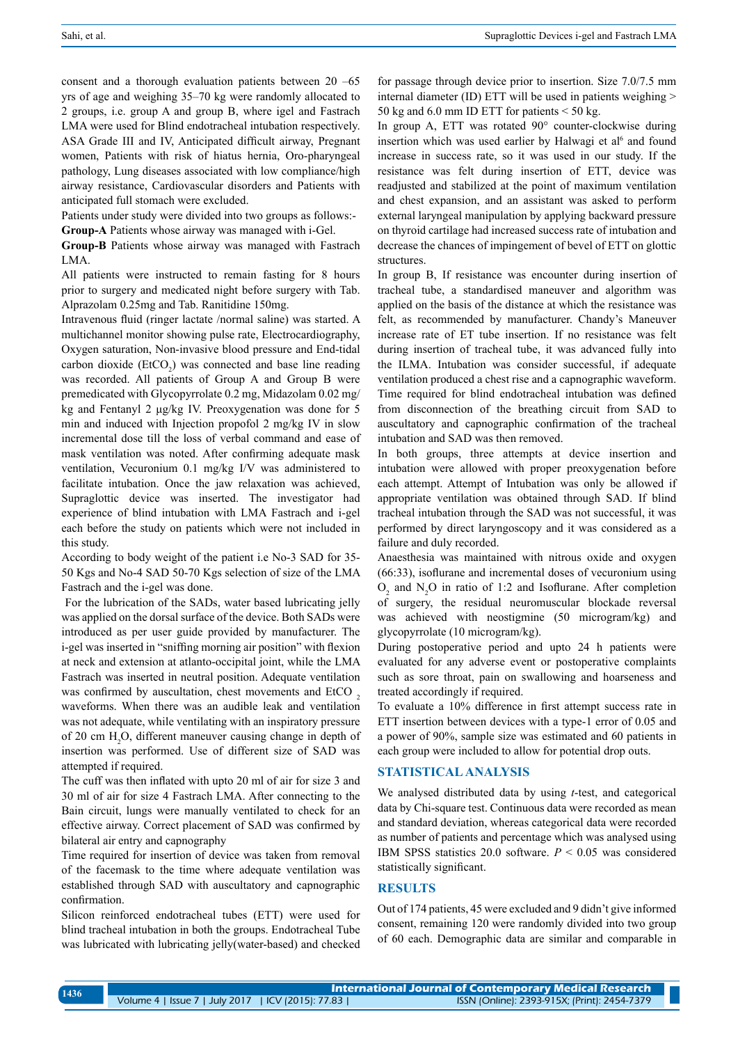consent and a thorough evaluation patients between 20 –65 yrs of age and weighing 35–70 kg were randomly allocated to 2 groups, i.e. group A and group B, where igel and Fastrach LMA were used for Blind endotracheal intubation respectively. ASA Grade III and IV, Anticipated difficult airway, Pregnant women, Patients with risk of hiatus hernia, Oro-pharyngeal pathology, Lung diseases associated with low compliance/high airway resistance, Cardiovascular disorders and Patients with anticipated full stomach were excluded.

Patients under study were divided into two groups as follows:-**Group-A** Patients whose airway was managed with i-Gel.

**Group-B** Patients whose airway was managed with Fastrach LMA.

All patients were instructed to remain fasting for 8 hours prior to surgery and medicated night before surgery with Tab. Alprazolam 0.25mg and Tab. Ranitidine 150mg.

Intravenous fluid (ringer lactate /normal saline) was started. A multichannel monitor showing pulse rate, Electrocardiography, Oxygen saturation, Non-invasive blood pressure and End-tidal carbon dioxide  $(EtCO<sub>2</sub>)$  was connected and base line reading was recorded. All patients of Group A and Group B were premedicated with Glycopyrrolate 0.2 mg, Midazolam 0.02 mg/ kg and Fentanyl 2 μg/kg IV. Preoxygenation was done for 5 min and induced with Injection propofol 2 mg/kg IV in slow incremental dose till the loss of verbal command and ease of mask ventilation was noted. After confirming adequate mask ventilation, Vecuronium 0.1 mg/kg I/V was administered to facilitate intubation. Once the jaw relaxation was achieved, Supraglottic device was inserted. The investigator had experience of blind intubation with LMA Fastrach and i-gel each before the study on patients which were not included in this study.

According to body weight of the patient i.e No-3 SAD for 35-50 Kgs and No-4 SAD 50-70 Kgs selection of size of the LMA Fastrach and the i-gel was done.

 For the lubrication of the SADs, water based lubricating jelly was applied on the dorsal surface of the device. Both SADs were introduced as per user guide provided by manufacturer. The i-gel was inserted in "sniffing morning air position" with flexion at neck and extension at atlanto-occipital joint, while the LMA Fastrach was inserted in neutral position. Adequate ventilation was confirmed by auscultation, chest movements and EtCO, waveforms. When there was an audible leak and ventilation was not adequate, while ventilating with an inspiratory pressure of 20 cm  $H_2O$ , different maneuver causing change in depth of insertion was performed. Use of different size of SAD was attempted if required.

The cuff was then inflated with upto 20 ml of air for size 3 and 30 ml of air for size 4 Fastrach LMA. After connecting to the Bain circuit, lungs were manually ventilated to check for an effective airway. Correct placement of SAD was confirmed by bilateral air entry and capnography

Time required for insertion of device was taken from removal of the facemask to the time where adequate ventilation was established through SAD with auscultatory and capnographic confirmation.

Silicon reinforced endotracheal tubes (ETT) were used for blind tracheal intubation in both the groups. Endotracheal Tube was lubricated with lubricating jelly(water-based) and checked

for passage through device prior to insertion. Size 7.0/7.5 mm internal diameter (ID) ETT will be used in patients weighing > 50 kg and 6.0 mm ID ETT for patients  $<$  50 kg.

In group A, ETT was rotated 90° counter-clockwise during insertion which was used earlier by Halwagi et al<sup>6</sup> and found increase in success rate, so it was used in our study. If the resistance was felt during insertion of ETT, device was readjusted and stabilized at the point of maximum ventilation and chest expansion, and an assistant was asked to perform external laryngeal manipulation by applying backward pressure on thyroid cartilage had increased success rate of intubation and decrease the chances of impingement of bevel of ETT on glottic structures.

In group B, If resistance was encounter during insertion of tracheal tube, a standardised maneuver and algorithm was applied on the basis of the distance at which the resistance was felt, as recommended by manufacturer. Chandy's Maneuver increase rate of ET tube insertion. If no resistance was felt during insertion of tracheal tube, it was advanced fully into the ILMA. Intubation was consider successful, if adequate ventilation produced a chest rise and a capnographic waveform. Time required for blind endotracheal intubation was defined from disconnection of the breathing circuit from SAD to auscultatory and capnographic confirmation of the tracheal intubation and SAD was then removed.

In both groups, three attempts at device insertion and intubation were allowed with proper preoxygenation before each attempt. Attempt of Intubation was only be allowed if appropriate ventilation was obtained through SAD. If blind tracheal intubation through the SAD was not successful, it was performed by direct laryngoscopy and it was considered as a failure and duly recorded.

Anaesthesia was maintained with nitrous oxide and oxygen (66:33), isoflurane and incremental doses of vecuronium using  $O_2$  and N<sub>2</sub>O in ratio of 1:2 and Isoflurane. After completion of surgery, the residual neuromuscular blockade reversal was achieved with neostigmine (50 microgram/kg) and glycopyrrolate (10 microgram/kg).

During postoperative period and upto 24 h patients were evaluated for any adverse event or postoperative complaints such as sore throat, pain on swallowing and hoarseness and treated accordingly if required.

To evaluate a 10% difference in first attempt success rate in ETT insertion between devices with a type-1 error of 0.05 and a power of 90%, sample size was estimated and 60 patients in each group were included to allow for potential drop outs.

### **Statisticalanalysis**

We analysed distributed data by using *t*-test, and categorical data by Chi-square test. Continuous data were recorded as mean and standard deviation, whereas categorical data were recorded as number of patients and percentage which was analysed using IBM SPSS statistics 20.0 software. *P* < 0.05 was considered statistically significant.

# **Results**

Out of 174 patients, 45 were excluded and 9 didn't give informed consent, remaining 120 were randomly divided into two group of 60 each. Demographic data are similar and comparable in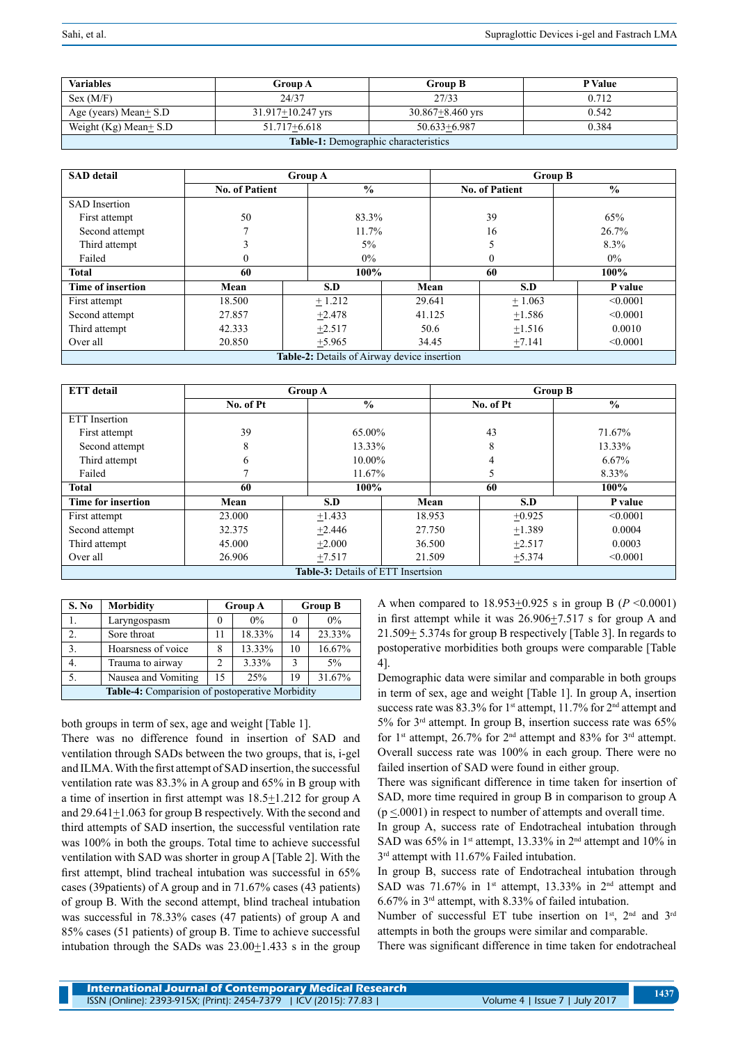| <b>Variables</b>                     | <b>Group A</b>          | <b>Group B</b>       | P Value |  |  |
|--------------------------------------|-------------------------|----------------------|---------|--|--|
| Sex (M/F)                            | 24/37                   | 27/33                | 0.712   |  |  |
| Age (years) Mean $\pm$ S.D           | $31.917 \pm 10.247$ yrs | $30.867 + 8.460$ yrs | 0.542   |  |  |
| Weight (Kg) Mean $\pm$ S.D           | 0.384                   |                      |         |  |  |
| Table 1: Demographic characteristics |                         |                      |         |  |  |

| <b>SAD</b> detail                                  | <b>Group A</b>        |               | <b>Group B</b> |       |                       |               |  |
|----------------------------------------------------|-----------------------|---------------|----------------|-------|-----------------------|---------------|--|
|                                                    | <b>No. of Patient</b> | $\frac{0}{0}$ |                |       | <b>No. of Patient</b> | $\frac{6}{6}$ |  |
| <b>SAD</b> Insertion                               |                       |               |                |       |                       |               |  |
| First attempt                                      | 50                    |               | 83.3%          |       | 39                    | 65%           |  |
| Second attempt                                     | $\mathbf{r}$          | 11.7%         | 16             |       |                       | 26.7%         |  |
| Third attempt                                      | 3                     | $5\%$         |                |       |                       | 8.3%          |  |
| Failed                                             | $\mathbf{0}$          | $0\%$         |                |       | $\mathbf{0}$          | $0\%$         |  |
| <b>Total</b>                                       | 60                    | 100%          |                | 60    |                       | 100%          |  |
| <b>Time of insertion</b>                           | Mean                  | S.D           | Mean           |       | S.D                   | P value       |  |
| First attempt                                      | 18.500                | $+1.212$      | 29.641         |       | $+1.063$              | < 0.0001      |  |
| Second attempt                                     | 27.857                | $+2.478$      | 41.125         |       | ±1.586                | < 0.0001      |  |
| Third attempt                                      | 42.333                | $+2.517$      |                | 50.6  | $+1.516$              | 0.0010        |  |
| Over all                                           | 20.850                | $+5.965$      |                | 34.45 | $+7.141$              | < 0.0001      |  |
| <b>Table-2:</b> Details of Airway device insertion |                       |               |                |       |                       |               |  |

| <b>ETT</b> detail                         | <b>Group A</b> |               |        | <b>Group B</b> |           |  |          |  |
|-------------------------------------------|----------------|---------------|--------|----------------|-----------|--|----------|--|
|                                           | No. of Pt      | $\frac{0}{0}$ |        |                | No. of Pt |  | $\%$     |  |
| <b>ETT</b> Insertion                      |                |               |        |                |           |  |          |  |
| First attempt                             | 39             | 65.00%        |        | 43             |           |  | 71.67%   |  |
| Second attempt                            | 8              | 13.33%        |        | 8              |           |  | 13.33%   |  |
| Third attempt                             | 6              |               | 10.00% |                | 4         |  | 6.67%    |  |
| Failed                                    | ┑              | 11.67%        |        | 5              |           |  | 8.33%    |  |
| <b>Total</b>                              | 60             |               | 100%   |                | 60        |  | 100%     |  |
| Time for insertion                        | Mean           | S.D           |        | Mean           | S.D       |  | P value  |  |
| First attempt                             | 23.000         | $+1.433$      |        | 18.953         | $+0.925$  |  | < 0.0001 |  |
| Second attempt                            | 32.375         | $+2.446$      |        | 27.750         | $+1.389$  |  | 0.0004   |  |
| Third attempt                             | 45.000         | $+2.000$      |        | 36.500         | $+2.517$  |  | 0.0003   |  |
| Over all                                  | 26.906         | $+7.517$      |        | 21.509         | $+5.374$  |  | < 0.0001 |  |
| <b>Table-3:</b> Details of ETT Insertsion |                |               |        |                |           |  |          |  |

| S. No                                           | <b>Morbidity</b>    | <b>Group A</b> |        | <b>Group B</b> |        |
|-------------------------------------------------|---------------------|----------------|--------|----------------|--------|
|                                                 | Laryngospasm        |                | $0\%$  |                | $0\%$  |
| 2.                                              | Sore throat         | 11             | 18.33% | 14             | 23.33% |
| 3.                                              | Hoarsness of voice  | 8              | 13.33% | 10             | 16.67% |
| 4.                                              | Trauma to airway    | 2              | 3.33%  | $\mathcal{R}$  | 5%     |
| 5.                                              | Nausea and Vomiting | 15             | 25%    | 19             | 31.67% |
| Table-4: Comparision of postoperative Morbidity |                     |                |        |                |        |

both groups in term of sex, age and weight [Table 1]. There was no difference found in insertion of SAD and ventilation through SADs between the two groups, that is, i-gel

and ILMA. With the first attempt of SAD insertion, the successful ventilation rate was 83.3% in A group and 65% in B group with a time of insertion in first attempt was  $18.5 \pm 1.212$  for group A and  $29.641 \pm 1.063$  for group B respectively. With the second and third attempts of SAD insertion, the successful ventilation rate was 100% in both the groups. Total time to achieve successful ventilation with SAD was shorter in group A [Table 2]. With the first attempt, blind tracheal intubation was successful in 65% cases (39patients) of A group and in 71.67% cases (43 patients) of group B. With the second attempt, blind tracheal intubation was successful in 78.33% cases (47 patients) of group A and 85% cases (51 patients) of group B. Time to achieve successful intubation through the SADs was  $23.00 \pm 1.433$  s in the group A when compared to 18.953+0.925 s in group B (*P* <0.0001) in first attempt while it was 26.906+7.517 s for group A and 21.509+ 5.374s for group B respectively [Table 3]. In regards to postoperative morbidities both groups were comparable [Table 4].

Demographic data were similar and comparable in both groups in term of sex, age and weight [Table 1]. In group A, insertion success rate was 83.3% for 1<sup>st</sup> attempt, 11.7% for 2<sup>nd</sup> attempt and 5% for 3rd attempt. In group B, insertion success rate was 65% for 1st attempt, 26.7% for 2nd attempt and 83% for 3rd attempt. Overall success rate was 100% in each group. There were no failed insertion of SAD were found in either group.

There was significant difference in time taken for insertion of SAD, more time required in group B in comparison to group A  $(p \le 0.001)$  in respect to number of attempts and overall time.

In group A, success rate of Endotracheal intubation through SAD was 65% in 1<sup>st</sup> attempt, 13.33% in 2<sup>nd</sup> attempt and 10% in 3<sup>rd</sup> attempt with 11.67% Failed intubation.

In group B, success rate of Endotracheal intubation through SAD was 71.67% in  $1<sup>st</sup>$  attempt, 13.33% in  $2<sup>nd</sup>$  attempt and 6.67% in 3rd attempt, with 8.33% of failed intubation.

Number of successful ET tube insertion on 1<sup>st</sup>, 2<sup>nd</sup> and 3<sup>rd</sup> attempts in both the groups were similar and comparable.

There was significant difference in time taken for endotracheal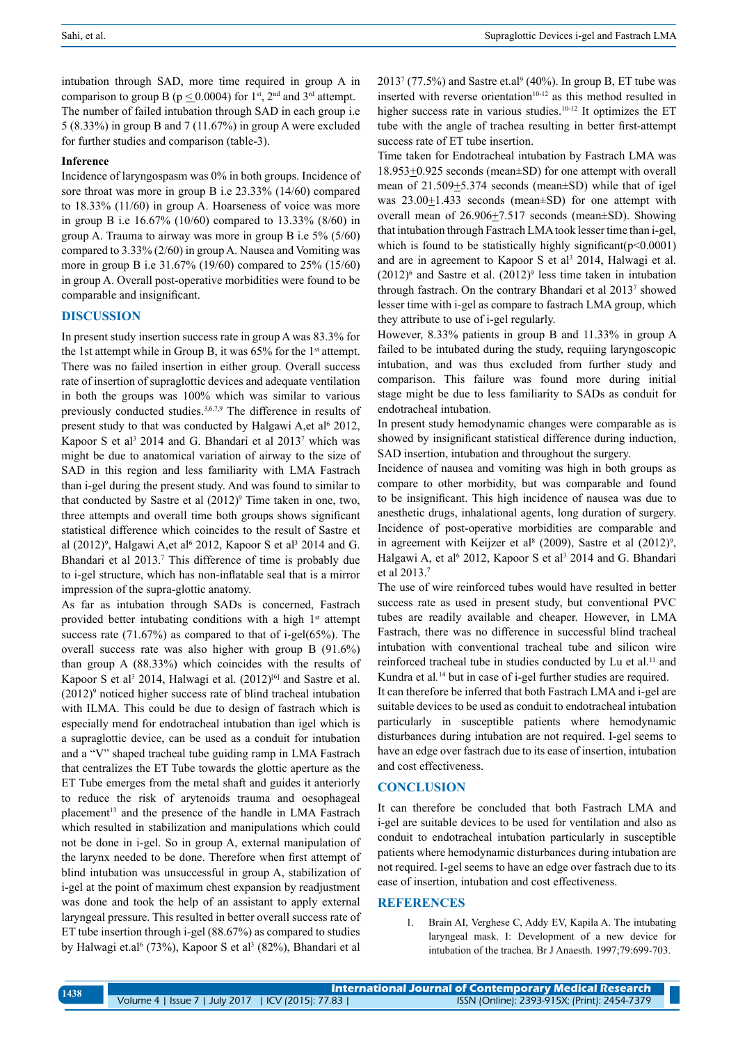intubation through SAD, more time required in group A in comparison to group B ( $p \le 0.0004$ ) for 1<sup>st</sup>, 2<sup>nd</sup> and 3<sup>rd</sup> attempt. The number of failed intubation through SAD in each group i.e 5 (8.33%) in group B and 7 (11.67%) in group A were excluded for further studies and comparison (table-3).

#### **Inference**

Incidence of laryngospasm was 0% in both groups. Incidence of sore throat was more in group B i.e 23.33% (14/60) compared to 18.33% (11/60) in group A. Hoarseness of voice was more in group B i.e 16.67% (10/60) compared to 13.33% (8/60) in group A. Trauma to airway was more in group B i.e 5% (5/60) compared to 3.33% (2/60) in group A. Nausea and Vomiting was more in group B i.e 31.67% (19/60) compared to 25% (15/60) in group A. Overall post-operative morbidities were found to be comparable and insignificant.

#### **Discussion**

In present study insertion success rate in group A was 83.3% for the 1st attempt while in Group B, it was  $65\%$  for the 1<sup>st</sup> attempt. There was no failed insertion in either group. Overall success rate of insertion of supraglottic devices and adequate ventilation in both the groups was 100% which was similar to various previously conducted studies.3,6,7,9 The difference in results of present study to that was conducted by Halgawi A,et al<sup>6</sup> 2012, Kapoor S et al<sup>3</sup> 2014 and G. Bhandari et al 2013<sup>7</sup> which was might be due to anatomical variation of airway to the size of SAD in this region and less familiarity with LMA Fastrach than i-gel during the present study. And was found to similar to that conducted by Sastre et al  $(2012)^9$  Time taken in one, two, three attempts and overall time both groups shows significant statistical difference which coincides to the result of Sastre et al (2012)<sup>9</sup>, Halgawi A,et al<sup>6</sup> 2012, Kapoor S et al<sup>3</sup> 2014 and G. Bhandari et al 2013.<sup>7</sup> This difference of time is probably due to i-gel structure, which has non-inflatable seal that is a mirror impression of the supra-glottic anatomy.

As far as intubation through SADs is concerned, Fastrach provided better intubating conditions with a high  $1<sup>st</sup>$  attempt success rate (71.67%) as compared to that of i-gel(65%). The overall success rate was also higher with group B (91.6%) than group A (88.33%) which coincides with the results of Kapoor S et al<sup>3</sup> 2014, Halwagi et al. (2012)<sup>[6]</sup> and Sastre et al.  $(2012)$ <sup>9</sup> noticed higher success rate of blind tracheal intubation with ILMA. This could be due to design of fastrach which is especially mend for endotracheal intubation than igel which is a supraglottic device, can be used as a conduit for intubation and a "V" shaped tracheal tube guiding ramp in LMA Fastrach that centralizes the ET Tube towards the glottic aperture as the ET Tube emerges from the metal shaft and guides it anteriorly to reduce the risk of arytenoids trauma and oesophageal placement<sup>13</sup> and the presence of the handle in LMA Fastrach which resulted in stabilization and manipulations which could not be done in i-gel. So in group A, external manipulation of the larynx needed to be done. Therefore when first attempt of blind intubation was unsuccessful in group A, stabilization of i-gel at the point of maximum chest expansion by readjustment was done and took the help of an assistant to apply external laryngeal pressure. This resulted in better overall success rate of ET tube insertion through i-gel (88.67%) as compared to studies by Halwagi et.al<sup>6</sup> (73%), Kapoor S et al<sup>3</sup> (82%), Bhandari et al

 $2013^7$  (77.5%) and Sastre et.al<sup>9</sup> (40%). In group B, ET tube was inserted with reverse orientation<sup>10-12</sup> as this method resulted in higher success rate in various studies.<sup>10-12</sup> It optimizes the ET tube with the angle of trachea resulting in better first-attempt success rate of ET tube insertion.

Time taken for Endotracheal intubation by Fastrach LMA was 18.953+0.925 seconds (mean±SD) for one attempt with overall mean of 21.509<sup>+</sup>5.374 seconds (mean ESD) while that of igel was  $23.00 \pm 1.433$  seconds (mean $\pm$ SD) for one attempt with overall mean of 26.906+7.517 seconds (mean±SD). Showing that intubation through Fastrach LMA took lesser time than i-gel, which is found to be statistically highly significant( $p<0.0001$ ) and are in agreement to Kapoor S et al<sup>3</sup> 2014, Halwagi et al.  $(2012)^6$  and Sastre et al.  $(2012)^9$  less time taken in intubation through fastrach. On the contrary Bhandari et al 20137 showed lesser time with i-gel as compare to fastrach LMA group, which they attribute to use of i-gel regularly.

However, 8.33% patients in group B and 11.33% in group A failed to be intubated during the study, requiing laryngoscopic intubation, and was thus excluded from further study and comparison. This failure was found more during initial stage might be due to less familiarity to SADs as conduit for endotracheal intubation.

In present study hemodynamic changes were comparable as is showed by insignificant statistical difference during induction, SAD insertion, intubation and throughout the surgery.

Incidence of nausea and vomiting was high in both groups as compare to other morbidity, but was comparable and found to be insignificant. This high incidence of nausea was due to anesthetic drugs, inhalational agents, long duration of surgery. Incidence of post-operative morbidities are comparable and in agreement with Keijzer et al<sup>8</sup> (2009), Sastre et al  $(2012)^9$ , Halgawi A, et al<sup>6</sup> 2012, Kapoor S et al<sup>3</sup> 2014 and G. Bhandari et al 2013.7

The use of wire reinforced tubes would have resulted in better success rate as used in present study, but conventional PVC tubes are readily available and cheaper. However, in LMA Fastrach, there was no difference in successful blind tracheal intubation with conventional tracheal tube and silicon wire reinforced tracheal tube in studies conducted by Lu et al.<sup>11</sup> and Kundra et al*.* <sup>14</sup> but in case of i-gel further studies are required.

It can therefore be inferred that both Fastrach LMA and i-gel are suitable devices to be used as conduit to endotracheal intubation particularly in susceptible patients where hemodynamic disturbances during intubation are not required. I-gel seems to have an edge over fastrach due to its ease of insertion, intubation and cost effectiveness.

#### **Conclusion**

It can therefore be concluded that both Fastrach LMA and i-gel are suitable devices to be used for ventilation and also as conduit to endotracheal intubation particularly in susceptible patients where hemodynamic disturbances during intubation are not required. I-gel seems to have an edge over fastrach due to its ease of insertion, intubation and cost effectiveness.

# **REFERENCES**

1. Brain AI, Verghese C, Addy EV, Kapila A. The intubating laryngeal mask. I: Development of a new device for intubation of the trachea. Br J Anaesth. 1997;79:699-703.